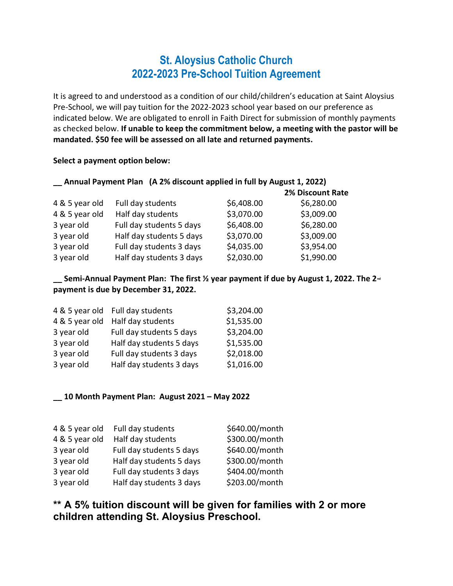## St. Aloysius Catholic Church 2022-2023 Pre-School Tuition Agreement

It is agreed to and understood as a condition of our child/children's education at Saint Aloysius Pre-School, we will pay tuition for the 2022-2023 school year based on our preference as indicated below. We are obligated to enroll in Faith Direct for submission of monthly payments as checked below. If unable to keep the commitment below, a meeting with the pastor will be mandated. \$50 fee will be assessed on all late and returned payments.

Select a payment option below:

| Annual Payment Plan (A 2% discount applied in full by August 1, 2022) |                          |            |                         |  |  |
|-----------------------------------------------------------------------|--------------------------|------------|-------------------------|--|--|
|                                                                       |                          |            | <b>2% Discount Rate</b> |  |  |
| 4 & 5 year old                                                        | Full day students        | \$6,408.00 | \$6,280.00              |  |  |
| 4 & 5 year old                                                        | Half day students        | \$3,070.00 | \$3,009.00              |  |  |
| 3 year old                                                            | Full day students 5 days | \$6,408.00 | \$6,280.00              |  |  |
| 3 year old                                                            | Half day students 5 days | \$3,070.00 | \$3,009.00              |  |  |
| 3 year old                                                            | Full day students 3 days | \$4,035.00 | \$3,954.00              |  |  |
| 3 year old                                                            | Half day students 3 days | \$2,030.00 | \$1,990.00              |  |  |

 $\equiv$  Semi-Annual Payment Plan: The first  $\frac{1}{2}$  year payment if due by August 1, 2022. The 2<sup>nd</sup> payment is due by December 31, 2022.

| 4 & 5 year old Full day students | \$3,204.00 |
|----------------------------------|------------|
| Half day students                | \$1,535.00 |
| Full day students 5 days         | \$3,204.00 |
| Half day students 5 days         | \$1,535.00 |
| Full day students 3 days         | \$2,018.00 |
| Half day students 3 days         | \$1,016.00 |
|                                  |            |

## \_\_ 10 Month Payment Plan: August 2021 – May 2022

| 4 & 5 year old | Full day students        | \$640.00/month |
|----------------|--------------------------|----------------|
| 4 & 5 year old | Half day students        | \$300.00/month |
| 3 year old     | Full day students 5 days | \$640.00/month |
| 3 year old     | Half day students 5 days | \$300.00/month |
| 3 year old     | Full day students 3 days | \$404.00/month |
| 3 year old     | Half day students 3 days | \$203.00/month |

\*\* A 5% tuition discount will be given for families with 2 or more children attending St. Aloysius Preschool.